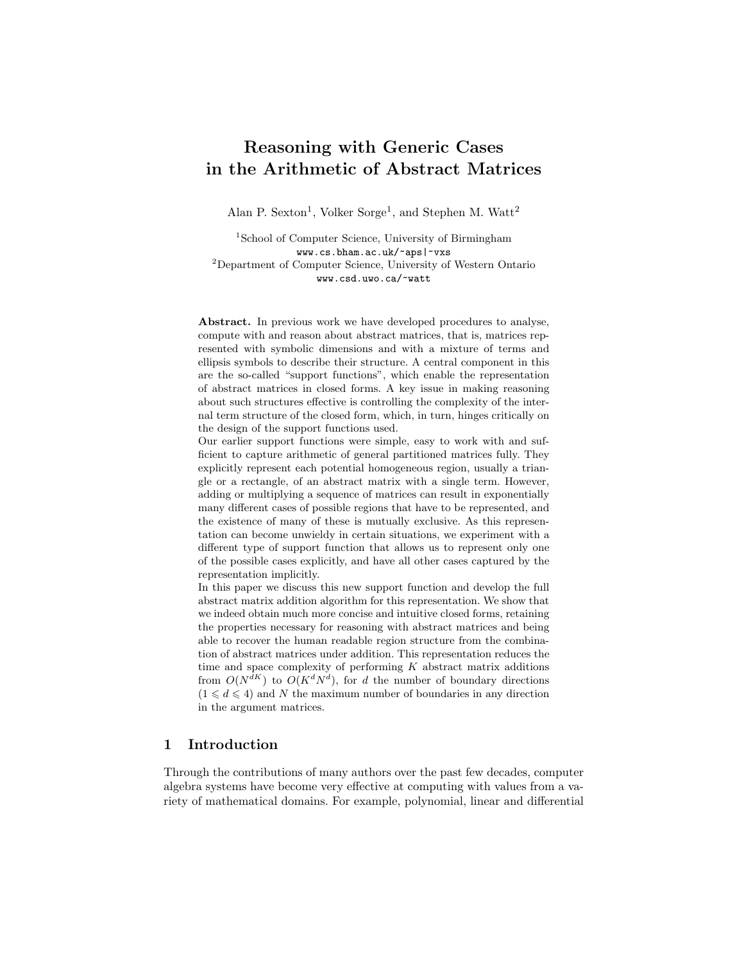# Reasoning with Generic Cases in the Arithmetic of Abstract Matrices

Alan P. Sexton<sup>1</sup>, Volker Sorge<sup>1</sup>, and Stephen M. Watt<sup>2</sup>

<sup>1</sup>School of Computer Science, University of Birmingham www.cs.bham.ac.uk/~aps|~vxs <sup>2</sup>Department of Computer Science, University of Western Ontario www.csd.uwo.ca/~watt

Abstract. In previous work we have developed procedures to analyse, compute with and reason about abstract matrices, that is, matrices represented with symbolic dimensions and with a mixture of terms and ellipsis symbols to describe their structure. A central component in this are the so-called "support functions", which enable the representation of abstract matrices in closed forms. A key issue in making reasoning about such structures effective is controlling the complexity of the internal term structure of the closed form, which, in turn, hinges critically on the design of the support functions used.

Our earlier support functions were simple, easy to work with and sufficient to capture arithmetic of general partitioned matrices fully. They explicitly represent each potential homogeneous region, usually a triangle or a rectangle, of an abstract matrix with a single term. However, adding or multiplying a sequence of matrices can result in exponentially many different cases of possible regions that have to be represented, and the existence of many of these is mutually exclusive. As this representation can become unwieldy in certain situations, we experiment with a different type of support function that allows us to represent only one of the possible cases explicitly, and have all other cases captured by the representation implicitly.

In this paper we discuss this new support function and develop the full abstract matrix addition algorithm for this representation. We show that we indeed obtain much more concise and intuitive closed forms, retaining the properties necessary for reasoning with abstract matrices and being able to recover the human readable region structure from the combination of abstract matrices under addition. This representation reduces the time and space complexity of performing  $K$  abstract matrix additions from  $O(N^{dK})$  to  $O(K^dN^d)$ , for d the number of boundary directions  $(1 \leq d \leq 4)$  and N the maximum number of boundaries in any direction in the argument matrices.

## 1 Introduction

Through the contributions of many authors over the past few decades, computer algebra systems have become very effective at computing with values from a variety of mathematical domains. For example, polynomial, linear and differential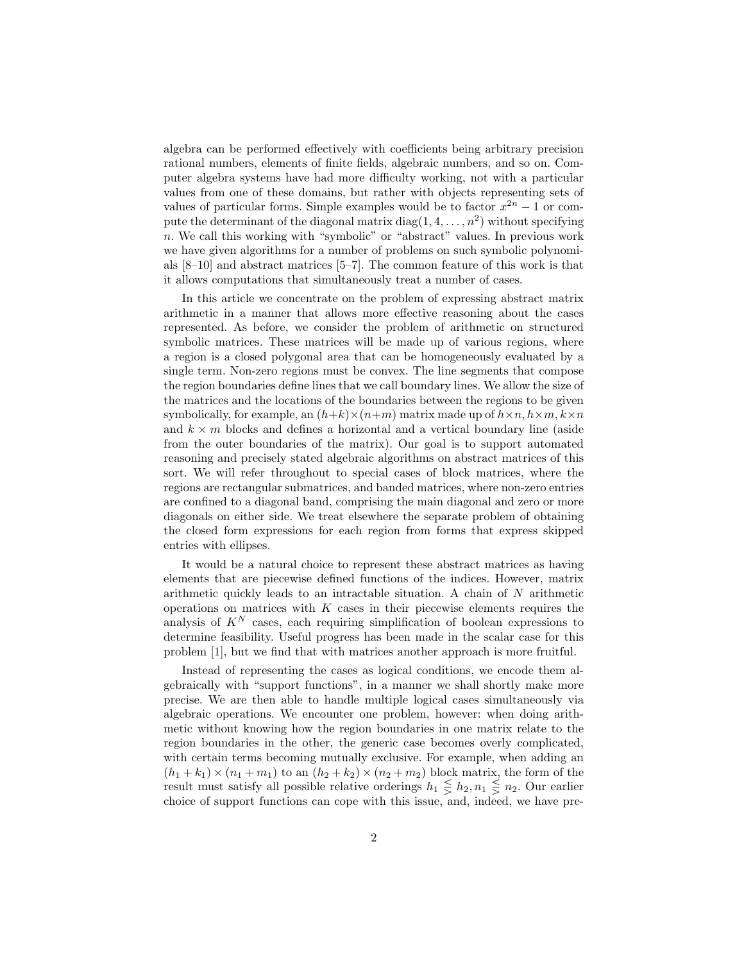algebra can be performed effectively with coefficients being arbitrary precision rational numbers, elements of finite fields, algebraic numbers, and so on. Computer algebra systems have had more difficulty working, not with a particular values from one of these domains, but rather with objects representing sets of values of particular forms. Simple examples would be to factor  $x^{2n} - 1$  or compute the determinant of the diagonal matrix  $diag(1, 4, \ldots, n^2)$  without specifying n. We call this working with "symbolic" or "abstract" values. In previous work we have given algorithms for a number of problems on such symbolic polynomials  $[8-10]$  and abstract matrices  $[5-7]$ . The common feature of this work is that it allows computations that simultaneously treat a number of cases.

In this article we concentrate on the problem of expressing abstract matrix arithmetic in a manner that allows more effective reasoning about the cases represented. As before, we consider the problem of arithmetic on structured symbolic matrices. These matrices will be made up of various regions, where a region is a closed polygonal area that can be homogeneously evaluated by a single term. Non-zero regions must be convex. The line segments that compose the region boundaries define lines that we call boundary lines. We allow the size of the matrices and the locations of the boundaries between the regions to be given symbolically, for example, an  $(h+k)\times(n+m)$  matrix made up of  $h\times n, h\times m, k\times n$ and  $k \times m$  blocks and defines a horizontal and a vertical boundary line (aside from the outer boundaries of the matrix). Our goal is to support automated reasoning and precisely stated algebraic algorithms on abstract matrices of this sort. We will refer throughout to special cases of block matrices, where the regions are rectangular submatrices, and banded matrices, where non-zero entries are confined to a diagonal band, comprising the main diagonal and zero or more diagonals on either side. We treat elsewhere the separate problem of obtaining the closed form expressions for each region from forms that express skipped entries with ellipses.

It would be a natural choice to represent these abstract matrices as having elements that are piecewise defined functions of the indices. However, matrix arithmetic quickly leads to an intractable situation. A chain of  $N$  arithmetic operations on matrices with  $K$  cases in their piecewise elements requires the analysis of  $K^N$  cases, each requiring simplification of boolean expressions to determine feasibility. Useful progress has been made in the scalar case for this problem [1], but we find that with matrices another approach is more fruitful.

Instead of representing the cases as logical conditions, we encode them algebraically with "support functions", in a manner we shall shortly make more precise. We are then able to handle multiple logical cases simultaneously via algebraic operations. We encounter one problem, however: when doing arithmetic without knowing how the region boundaries in one matrix relate to the region boundaries in the other, the generic case becomes overly complicated, with certain terms becoming mutually exclusive. For example, when adding an  $(h_1 + k_1) \times (n_1 + m_1)$  to an  $(h_2 + k_2) \times (n_2 + m_2)$  block matrix, the form of the result must satisfy all possible relative orderings  $h_1 \leq h_2, n_1 \leq n_2$ . Our earlier choice of support functions can cope with this issue, and, indeed, we have pre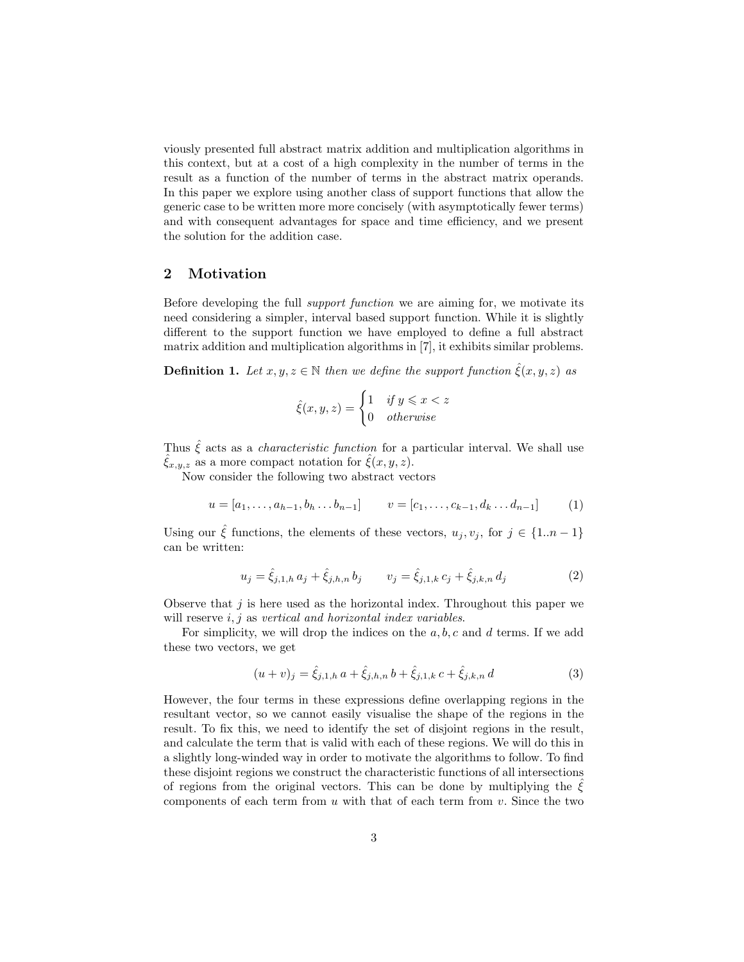viously presented full abstract matrix addition and multiplication algorithms in this context, but at a cost of a high complexity in the number of terms in the result as a function of the number of terms in the abstract matrix operands. In this paper we explore using another class of support functions that allow the generic case to be written more more concisely (with asymptotically fewer terms) and with consequent advantages for space and time efficiency, and we present the solution for the addition case.

# 2 Motivation

Before developing the full support function we are aiming for, we motivate its need considering a simpler, interval based support function. While it is slightly different to the support function we have employed to define a full abstract matrix addition and multiplication algorithms in [7], it exhibits similar problems.

**Definition 1.** Let  $x, y, z \in \mathbb{N}$  then we define the support function  $\hat{\xi}(x, y, z)$  as

$$
\hat{\xi}(x, y, z) = \begin{cases} 1 & \text{if } y \leq x < z \\ 0 & \text{otherwise} \end{cases}
$$

Thus  $\hat{\xi}$  acts as a *characteristic function* for a particular interval. We shall use  $\hat{\xi}_{x,y,z}$  as a more compact notation for  $\hat{\xi}(x,y,z)$ .

Now consider the following two abstract vectors

$$
u = [a_1, \dots, a_{h-1}, b_h \dots b_{n-1}] \qquad v = [c_1, \dots, c_{k-1}, d_k \dots d_{n-1}] \qquad (1)
$$

Using our  $\hat{\xi}$  functions, the elements of these vectors,  $u_j, v_j$ , for  $j \in \{1..n-1\}$ can be written:

$$
u_j = \hat{\xi}_{j,1,h} a_j + \hat{\xi}_{j,h,n} b_j \qquad v_j = \hat{\xi}_{j,1,k} c_j + \hat{\xi}_{j,k,n} d_j \tag{2}
$$

Observe that  $j$  is here used as the horizontal index. Throughout this paper we will reserve  $i, j$  as vertical and horizontal index variables.

For simplicity, we will drop the indices on the  $a, b, c$  and  $d$  terms. If we add these two vectors, we get

$$
(u+v)_j = \hat{\xi}_{j,1,h} a + \hat{\xi}_{j,h,n} b + \hat{\xi}_{j,1,k} c + \hat{\xi}_{j,k,n} d \tag{3}
$$

However, the four terms in these expressions define overlapping regions in the resultant vector, so we cannot easily visualise the shape of the regions in the result. To fix this, we need to identify the set of disjoint regions in the result, and calculate the term that is valid with each of these regions. We will do this in a slightly long-winded way in order to motivate the algorithms to follow. To find these disjoint regions we construct the characteristic functions of all intersections of regions from the original vectors. This can be done by multiplying the  $\hat{\xi}$ components of each term from  $u$  with that of each term from  $v$ . Since the two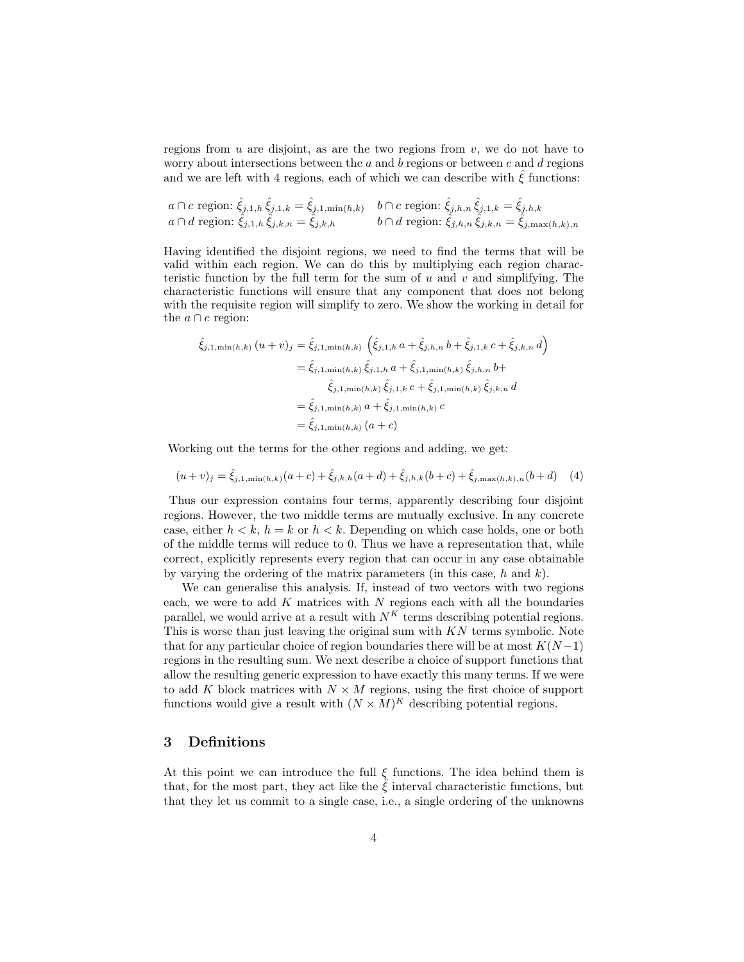regions from u are disjoint, as are the two regions from  $v$ , we do not have to worry about intersections between the  $a$  and  $b$  regions or between  $c$  and  $d$  regions and we are left with 4 regions, each of which we can describe with  $\xi$  functions:

$$
a \cap c \text{ region: } \hat{\xi}_{j,1,h} \hat{\xi}_{j,1,k} = \hat{\xi}_{j,1,\min(h,k)} \quad b \cap c \text{ region: } \hat{\xi}_{j,h,n} \hat{\xi}_{j,1,k} = \hat{\xi}_{j,h,k}
$$
  

$$
a \cap d \text{ region: } \hat{\xi}_{j,1,h} \hat{\xi}_{j,k,n} = \hat{\xi}_{j,k,h} \qquad b \cap d \text{ region: } \hat{\xi}_{j,h,n} \hat{\xi}_{j,k,n} = \hat{\xi}_{j,\max(h,k),n}
$$

Having identified the disjoint regions, we need to find the terms that will be valid within each region. We can do this by multiplying each region characteristic function by the full term for the sum of  $u$  and  $v$  and simplifying. The characteristic functions will ensure that any component that does not belong with the requisite region will simplify to zero. We show the working in detail for the  $a \cap c$  region:

$$
\hat{\xi}_{j,1,\min(h,k)} (u+v)_j = \hat{\xi}_{j,1,\min(h,k)} \left( \hat{\xi}_{j,1,h} a + \hat{\xi}_{j,h,n} b + \hat{\xi}_{j,1,k} c + \hat{\xi}_{j,k,n} d \right)
$$
\n
$$
= \hat{\xi}_{j,1,\min(h,k)} \hat{\xi}_{j,1,h} a + \hat{\xi}_{j,1,\min(h,k)} \hat{\xi}_{j,h,n} b +
$$
\n
$$
\hat{\xi}_{j,1,\min(h,k)} \hat{\xi}_{j,1,k} c + \hat{\xi}_{j,1,\min(h,k)} \hat{\xi}_{j,k,n} d
$$
\n
$$
= \hat{\xi}_{j,1,\min(h,k)} a + \hat{\xi}_{j,1,\min(h,k)} c
$$
\n
$$
= \hat{\xi}_{j,1,\min(h,k)} (a+c)
$$

Working out the terms for the other regions and adding, we get:

$$
(u+v)_j = \hat{\xi}_{j,1,\min(h,k)}(a+c) + \hat{\xi}_{j,k,h}(a+d) + \hat{\xi}_{j,h,k}(b+c) + \hat{\xi}_{j,\max(h,k),n}(b+d) \tag{4}
$$

Thus our expression contains four terms, apparently describing four disjoint regions. However, the two middle terms are mutually exclusive. In any concrete case, either  $h < k$ ,  $h = k$  or  $h < k$ . Depending on which case holds, one or both of the middle terms will reduce to 0. Thus we have a representation that, while correct, explicitly represents every region that can occur in any case obtainable by varying the ordering of the matrix parameters (in this case,  $h$  and  $k$ ).

We can generalise this analysis. If, instead of two vectors with two regions each, we were to add  $K$  matrices with  $N$  regions each with all the boundaries parallel, we would arrive at a result with  $N<sup>K</sup>$  terms describing potential regions. This is worse than just leaving the original sum with KN terms symbolic. Note that for any particular choice of region boundaries there will be at most  $K(N-1)$ regions in the resulting sum. We next describe a choice of support functions that allow the resulting generic expression to have exactly this many terms. If we were to add K block matrices with  $N \times M$  regions, using the first choice of support functions would give a result with  $(N \times M)^K$  describing potential regions.

#### 3 Definitions

At this point we can introduce the full  $\xi$  functions. The idea behind them is that, for the most part, they act like the  $\xi$  interval characteristic functions, but that they let us commit to a single case, i.e., a single ordering of the unknowns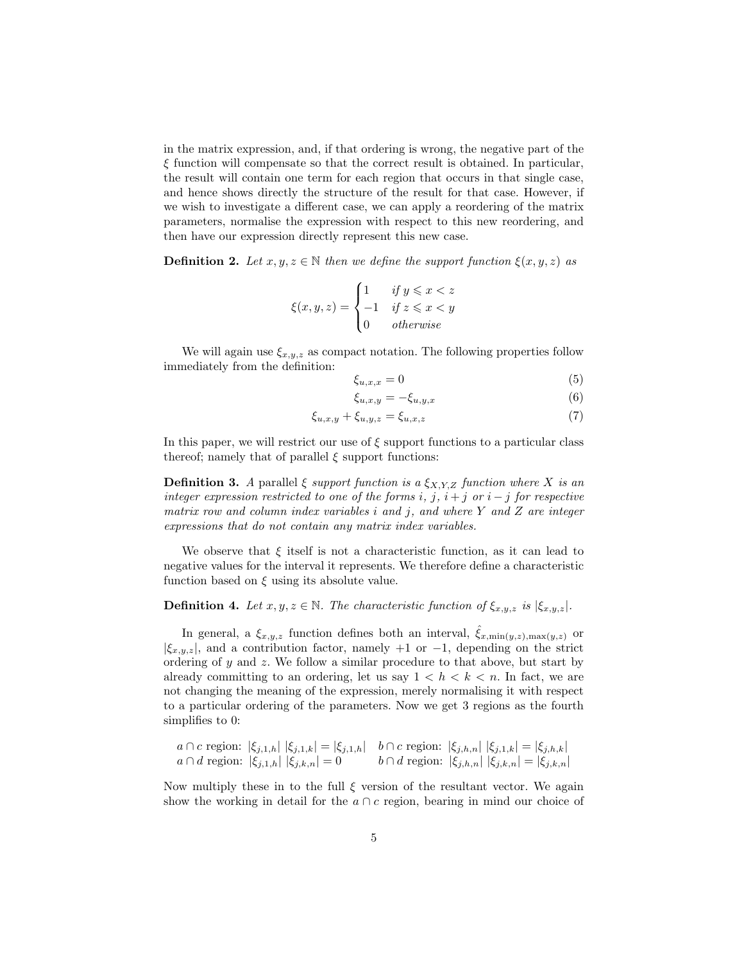in the matrix expression, and, if that ordering is wrong, the negative part of the  $\xi$  function will compensate so that the correct result is obtained. In particular, the result will contain one term for each region that occurs in that single case, and hence shows directly the structure of the result for that case. However, if we wish to investigate a different case, we can apply a reordering of the matrix parameters, normalise the expression with respect to this new reordering, and then have our expression directly represent this new case.

**Definition 2.** Let  $x, y, z \in \mathbb{N}$  then we define the support function  $\xi(x, y, z)$  as

$$
\xi(x, y, z) = \begin{cases} 1 & \text{if } y \leq x < z \\ -1 & \text{if } z \leq x < y \\ 0 & \text{otherwise} \end{cases}
$$

We will again use  $\xi_{x,y,z}$  as compact notation. The following properties follow immediately from the definition:

$$
\xi_{u,x,x} = 0 \tag{5}
$$

$$
\xi_{u,x,y} = -\xi_{u,y,x} \tag{6}
$$

$$
\xi_{u,x,y} + \xi_{u,y,z} = \xi_{u,x,z} \tag{7}
$$

In this paper, we will restrict our use of  $\xi$  support functions to a particular class thereof; namely that of parallel  $\xi$  support functions:

**Definition 3.** A parallel  $\xi$  support function is a  $\xi_{X,Y,Z}$  function where X is an integer expression restricted to one of the forms i, j,  $i + j$  or  $i - j$  for respective matrix row and column index variables  $i$  and  $j$ , and where  $Y$  and  $Z$  are integer expressions that do not contain any matrix index variables.

We observe that  $\xi$  itself is not a characteristic function, as it can lead to negative values for the interval it represents. We therefore define a characteristic function based on  $\xi$  using its absolute value.

**Definition 4.** Let  $x, y, z \in \mathbb{N}$ . The characteristic function of  $\xi_{x,y,z}$  is  $|\xi_{x,y,z}|$ .

In general, a  $\xi_{x,y,z}$  function defines both an interval,  $\hat{\xi}_{x,\min(y,z),\max(y,z)}$  or  $|\xi_{x,y,z}|$ , and a contribution factor, namely +1 or -1, depending on the strict ordering of  $y$  and  $z$ . We follow a similar procedure to that above, but start by already committing to an ordering, let us say  $1 < h < k < n$ . In fact, we are not changing the meaning of the expression, merely normalising it with respect to a particular ordering of the parameters. Now we get 3 regions as the fourth simplifies to 0:

$$
a \cap c
$$
 region:  $|\xi_{j,1,h}| |\xi_{j,1,k}| = |\xi_{j,1,h}|$   $b \cap c$  region:  $|\xi_{j,h,n}| |\xi_{j,1,k}| = |\xi_{j,h,k}|$   
\n $a \cap d$  region:  $|\xi_{j,1,h}| |\xi_{j,k,n}| = 0$   $b \cap d$  region:  $|\xi_{j,h,n}| |\xi_{j,k,n}| = |\xi_{j,k,n}|$ 

Now multiply these in to the full  $\xi$  version of the resultant vector. We again show the working in detail for the  $a \cap c$  region, bearing in mind our choice of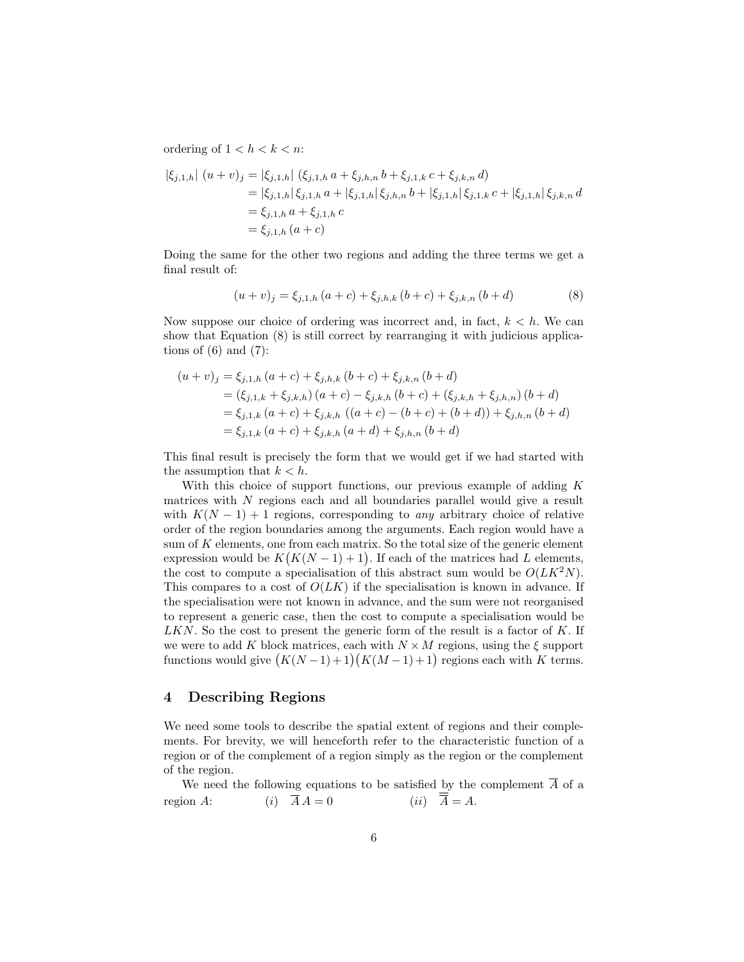ordering of  $1 < h < k < n$ :

$$
\begin{aligned} |\xi_{j,1,h}| \ (u+v)_j &= |\xi_{j,1,h}| \ (\xi_{j,1,h} \ a + \xi_{j,h,n} \ b + \xi_{j,1,k} \ c + \xi_{j,k,n} \ d) \\ &= |\xi_{j,1,h}| \ \xi_{j,1,h} \ a + |\xi_{j,1,h}| \ \xi_{j,h,n} \ b + |\xi_{j,1,h}| \ \xi_{j,1,k} \ c + |\xi_{j,1,h}| \ \xi_{j,k,n} \ d \\ &= \xi_{j,1,h} \ a + \xi_{j,1,h} \ c \\ &= \xi_{j,1,h} \ (a+c) \end{aligned}
$$

Doing the same for the other two regions and adding the three terms we get a final result of:

$$
(u+v)_j = \xi_{j,1,h} (a+c) + \xi_{j,h,k} (b+c) + \xi_{j,k,n} (b+d)
$$
 (8)

Now suppose our choice of ordering was incorrect and, in fact,  $k < h$ . We can show that Equation (8) is still correct by rearranging it with judicious applications of  $(6)$  and  $(7)$ :

$$
(u + v)_j = \xi_{j,1,h} (a + c) + \xi_{j,h,k} (b + c) + \xi_{j,k,n} (b + d)
$$
  
=  $(\xi_{j,1,k} + \xi_{j,k,h}) (a + c) - \xi_{j,k,h} (b + c) + (\xi_{j,k,h} + \xi_{j,h,n}) (b + d)$   
=  $\xi_{j,1,k} (a + c) + \xi_{j,k,h} ((a + c) - (b + c) + (b + d)) + \xi_{j,h,n} (b + d)$   
=  $\xi_{j,1,k} (a + c) + \xi_{j,k,h} (a + d) + \xi_{j,h,n} (b + d)$ 

This final result is precisely the form that we would get if we had started with the assumption that  $k < h$ .

With this choice of support functions, our previous example of adding K matrices with N regions each and all boundaries parallel would give a result with  $K(N-1) + 1$  regions, corresponding to any arbitrary choice of relative order of the region boundaries among the arguments. Each region would have a sum of  $K$  elements, one from each matrix. So the total size of the generic element expression would be  $K(K(N-1)+1)$ . If each of the matrices had L elements, the cost to compute a specialisation of this abstract sum would be  $O(LK^2N)$ . This compares to a cost of  $O(LK)$  if the specialisation is known in advance. If the specialisation were not known in advance, and the sum were not reorganised to represent a generic case, then the cost to compute a specialisation would be LKN. So the cost to present the generic form of the result is a factor of K. If we were to add K block matrices, each with  $N \times M$  regions, using the  $\xi$  support functions would give  $(K(N-1)+1)(K(M-1)+1)$  regions each with K terms.

#### 4 Describing Regions

We need some tools to describe the spatial extent of regions and their complements. For brevity, we will henceforth refer to the characteristic function of a region or of the complement of a region simply as the region or the complement of the region.

We need the following equations to be satisfied by the complement  $\overline{A}$  of a region A: (i)  $\overline{A} A = 0$  (ii)  $\overline{A} = A$ .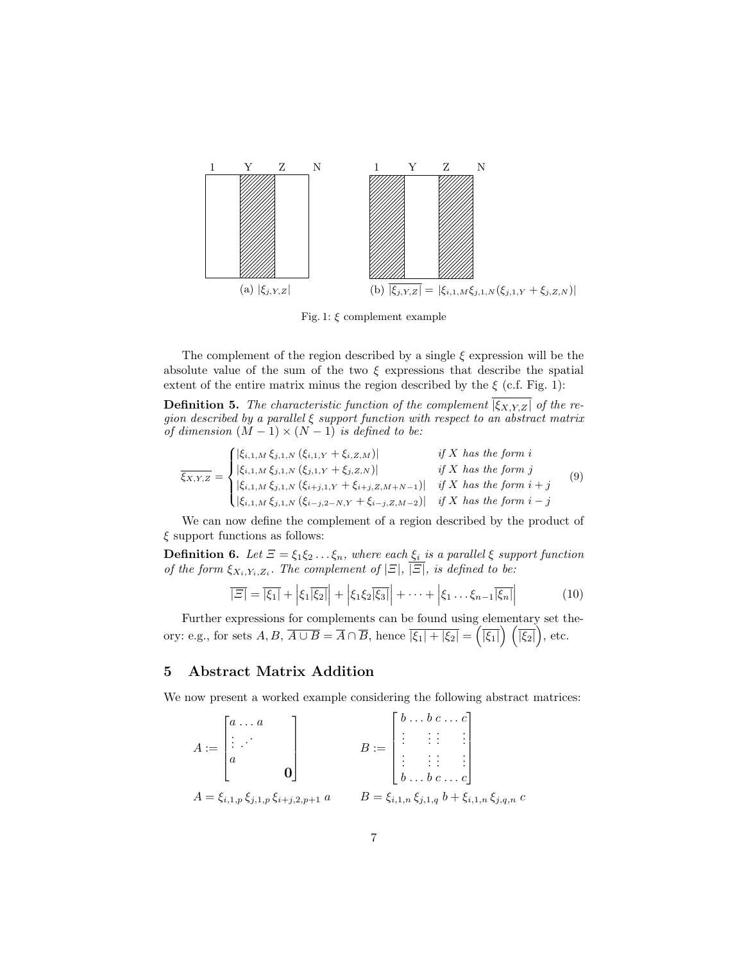

Fig. 1:  $\xi$  complement example

The complement of the region described by a single  $\xi$  expression will be the absolute value of the sum of the two  $\xi$  expressions that describe the spatial extent of the entire matrix minus the region described by the  $\xi$  (c.f. Fig. 1):

**Definition 5.** The characteristic function of the complement  $|\xi_{X,Y,Z}|$  of the region described by a parallel  $\xi$  support function with respect to an abstract matrix of dimension  $(M-1) \times (N-1)$  is defined to be:

$$
\overline{\xi_{X,Y,Z}} = \begin{cases}\n[\xi_{i,1,M} \xi_{j,1,N} (\xi_{i,1,Y} + \xi_{i,Z,M})] & \text{if } X \text{ has the form } i \\
|\xi_{i,1,M} \xi_{j,1,N} (\xi_{j,1,Y} + \xi_{j,Z,N})| & \text{if } X \text{ has the form } j \\
|\xi_{i,1,M} \xi_{j,1,N} (\xi_{i+j,1,Y} + \xi_{i+j,Z,M+N-1})| & \text{if } X \text{ has the form } i+j \\
|\xi_{i,1,M} \xi_{j,1,N} (\xi_{i-j,2-N,Y} + \xi_{i-j,Z,M-2})| & \text{if } X \text{ has the form } i-j\n\end{cases}
$$
\n(9)

We can now define the complement of a region described by the product of  $\xi$  support functions as follows:

**Definition 6.** Let  $\Xi = \xi_1 \xi_2 \dots \xi_n$ , where each  $\xi_i$  is a parallel  $\xi$  support function of the form  $\xi_{X_i,Y_i,Z_i}$ . The complement of  $|\Xi|$ ,  $|\Xi|$ , is defined to be:

$$
\overline{|\Xi|} = \overline{|\xi_1|} + \left|\xi_1 \overline{|\xi_2|}\right| + \left|\xi_1 \xi_2 \overline{|\xi_3|}\right| + \dots + \left|\xi_1 \dots \xi_{n-1} \overline{|\xi_n|}\right| \tag{10}
$$

Further expressions for complements can be found using elementary set theory: e.g., for sets  $A, B, \overline{A \cup B} = \overline{A} \cap \overline{B}$ , hence  $\overline{|\xi_1| + |\xi_2|} = (\overline{|\xi_1|}) (\overline{|\xi_2|})$ , etc.

## 5 Abstract Matrix Addition

We now present a worked example considering the following abstract matrices:

$$
A := \begin{bmatrix} a & a & & \\ \vdots & \ddots & & \\ a & & & \\ a & & & 0 \end{bmatrix}
$$

$$
B := \begin{bmatrix} b & b & c & c & c \\ \vdots & \vdots & \vdots & \vdots \\ b & & b & c & c & c \\ b & & b & c & c & c \end{bmatrix}
$$

$$
A = \xi_{i,1,p} \xi_{j,1,p} \xi_{i+j,2,p+1} a \qquad B = \xi_{i,1,n} \xi_{j,1,q} b + \xi_{i,1,n} \xi_{j,q,n} c
$$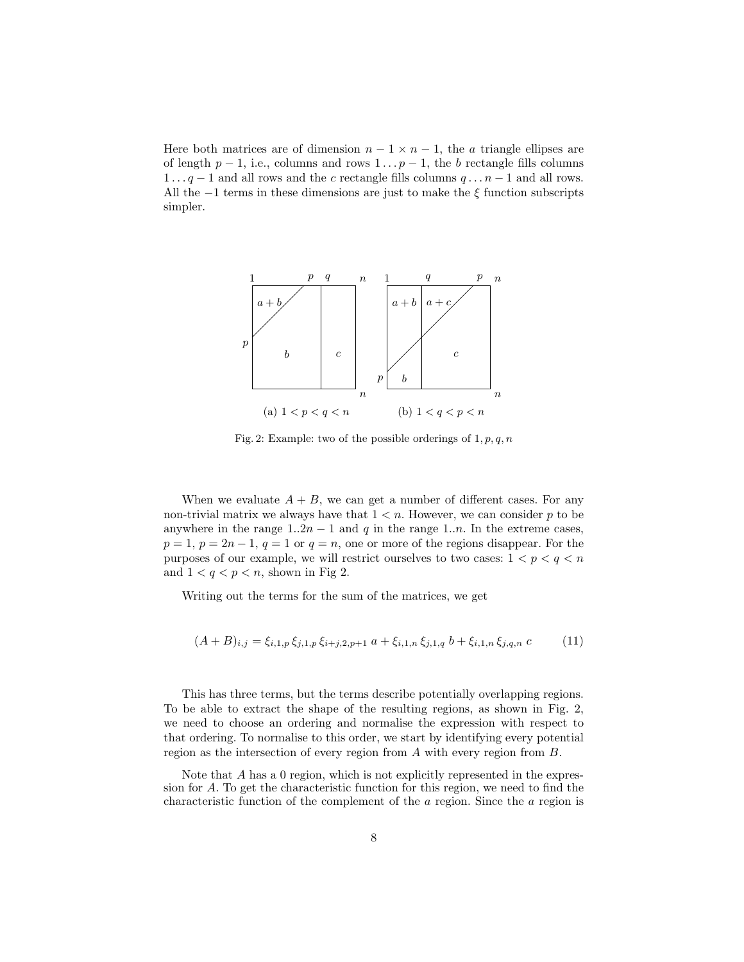Here both matrices are of dimension  $n - 1 \times n - 1$ , the a triangle ellipses are of length  $p-1$ , i.e., columns and rows  $1 \tildes p-1$ , the b rectangle fills columns 1... $q-1$  and all rows and the c rectangle fills columns  $q \dots n-1$  and all rows. All the  $-1$  terms in these dimensions are just to make the  $\xi$  function subscripts simpler.



Fig. 2: Example: two of the possible orderings of  $1, p, q, n$ 

When we evaluate  $A + B$ , we can get a number of different cases. For any non-trivial matrix we always have that  $1 < n$ . However, we can consider p to be anywhere in the range  $1..2n-1$  and q in the range 1..n. In the extreme cases,  $p = 1, p = 2n - 1, q = 1$  or  $q = n$ , one or more of the regions disappear. For the purposes of our example, we will restrict ourselves to two cases:  $1 < p < q < n$ and  $1 < q < p < n$ , shown in Fig 2.

Writing out the terms for the sum of the matrices, we get

$$
(A + B)_{i,j} = \xi_{i,1,p} \xi_{j,1,p} \xi_{i+j,2,p+1} \ a + \xi_{i,1,n} \xi_{j,1,q} \ b + \xi_{i,1,n} \xi_{j,q,n} \ c \tag{11}
$$

This has three terms, but the terms describe potentially overlapping regions. To be able to extract the shape of the resulting regions, as shown in Fig. 2, we need to choose an ordering and normalise the expression with respect to that ordering. To normalise to this order, we start by identifying every potential region as the intersection of every region from A with every region from B.

Note that A has a 0 region, which is not explicitly represented in the expression for A. To get the characteristic function for this region, we need to find the characteristic function of the complement of the a region. Since the a region is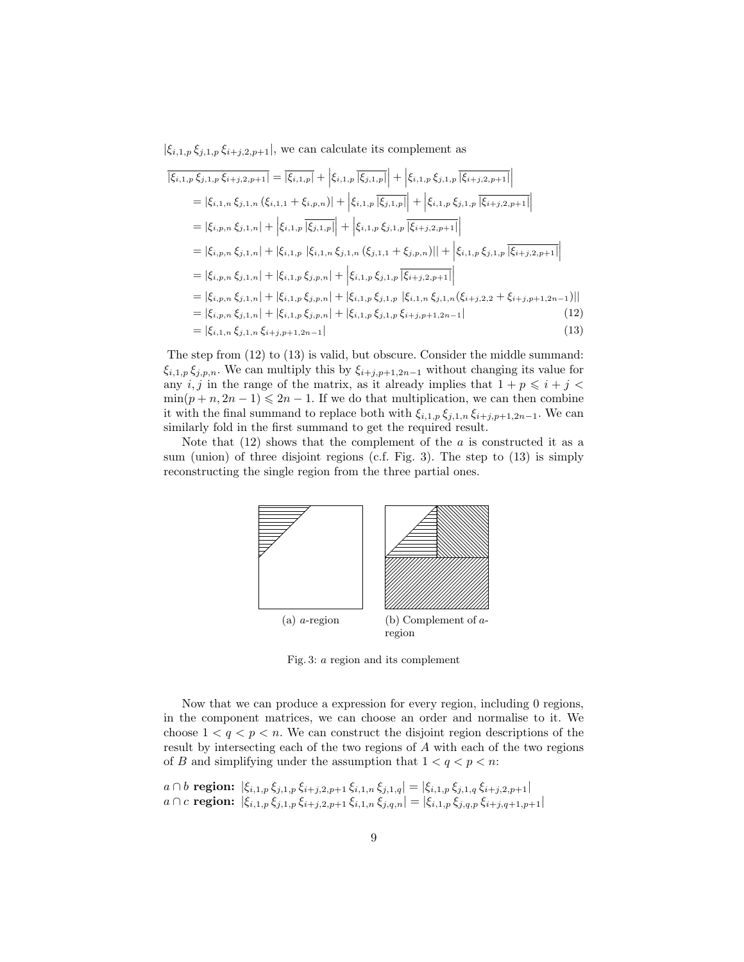$|\xi_{i,1,p}\xi_{j,1,p}\xi_{i+j,2,p+1}|$ , we can calculate its complement as

$$
\overline{\left|\xi_{i,1,p}\,\xi_{j,1,p}\,\xi_{i+j,2,p+1}\right|} = \overline{\left|\xi_{i,1,p}\right|} + \left|\xi_{i,1,p}\,\overline{\left|\xi_{j,1,p}\right|}\right| + \left|\xi_{i,1,p}\,\xi_{j,1,p}\,\overline{\left|\xi_{i+j,2,p+1}\right|}\right|
$$
\n
$$
= \left|\xi_{i,1,n}\,\xi_{j,1,n}\,\left(\xi_{i,1,1} + \xi_{i,p,n}\right)\right| + \left|\xi_{i,1,p}\,\overline{\left|\xi_{j,1,p}\right|}\right| + \left|\xi_{i,1,p}\,\xi_{j,1,p}\,\overline{\left|\xi_{i+j,2,p+1}\right|}\right|
$$
\n
$$
= \left|\xi_{i,p,n}\,\xi_{j,1,n}\right| + \left|\xi_{i,1,p}\,\overline{\left|\xi_{j,1,p}\right|}\right| + \left|\xi_{i,1,p}\,\xi_{j,1,p}\,\overline{\left|\xi_{i+j,2,p+1}\right|}\right|
$$
\n
$$
= \left|\xi_{i,p,n}\,\xi_{j,1,n}\right| + \left|\xi_{i,1,p}\,\left|\xi_{i,1,n}\,\xi_{j,1,n}\,\left(\xi_{j,1,1} + \xi_{j,p,n}\right)\right|\right| + \left|\xi_{i,1,p}\,\xi_{j,1,p}\,\overline{\left|\xi_{i+j,2,p+1}\right|}\right|
$$
\n
$$
= \left|\xi_{i,p,n}\,\xi_{j,1,n}\right| + \left|\xi_{i,1,p}\,\xi_{j,p,n}\right| + \left|\xi_{i,1,p}\,\xi_{j,1,p}\,\overline{\left|\xi_{i+j,2,p+1}\right|}\right|
$$
\n
$$
= \left|\xi_{i,p,n}\,\xi_{j,1,n}\right| + \left|\xi_{i,1,p}\,\xi_{j,p,n}\right| + \left|\xi_{i,1,p}\,\xi_{j,1,p}\,\left|\xi_{i,1,n}\,\xi_{j,1,n}\,\left(\xi_{i+j,2,2} + \xi_{i+j,p+1,2n-1}\right)\right|\right|
$$
\n
$$
= \left|\xi_{i,1,n}\,\xi_{j,1,n}\right| + \left|\xi_{i,1,p}\,\xi_{j,p,n}\right| + \left|\xi_{i,1,p}\,\xi_{j,1,p}\,\xi_{i+j,p+1,2n-1}\right
$$

The step from (12) to (13) is valid, but obscure. Consider the middle summand:  $\xi_{i,1,p} \xi_{j,p,n}$ . We can multiply this by  $\xi_{i+j,p+1,2n-1}$  without changing its value for any  $i, j$  in the range of the matrix, as it already implies that  $1 + p \leq i + j <$  $\min(p + n, 2n - 1) \leq 2n - 1$ . If we do that multiplication, we can then combine it with the final summand to replace both with  $\xi_{i,1,p} \xi_{j,1,n} \xi_{i+j,p+1,2n-1}$ . We can similarly fold in the first summand to get the required result.

Note that  $(12)$  shows that the complement of the a is constructed it as a sum (union) of three disjoint regions (c.f. Fig. 3). The step to (13) is simply reconstructing the single region from the three partial ones.



Fig. 3: a region and its complement

Now that we can produce a expression for every region, including 0 regions, in the component matrices, we can choose an order and normalise to it. We choose  $1 < q < p < n$ . We can construct the disjoint region descriptions of the result by intersecting each of the two regions of A with each of the two regions of B and simplifying under the assumption that  $1 < q < p < n$ :

$$
a \cap b \text{ region: } |\xi_{i,1,p} \xi_{j,1,p} \xi_{i+j,2,p+1} \xi_{i,1,n} \xi_{j,1,q}| = |\xi_{i,1,p} \xi_{j,1,q} \xi_{i+j,2,p+1}|
$$
  

$$
a \cap c \text{ region: } |\xi_{i,1,p} \xi_{j,1,p} \xi_{i+j,2,p+1} \xi_{i,1,n} \xi_{j,q,n}| = |\xi_{i,1,p} \xi_{j,q,p} \xi_{i+j,q+1,p+1}|
$$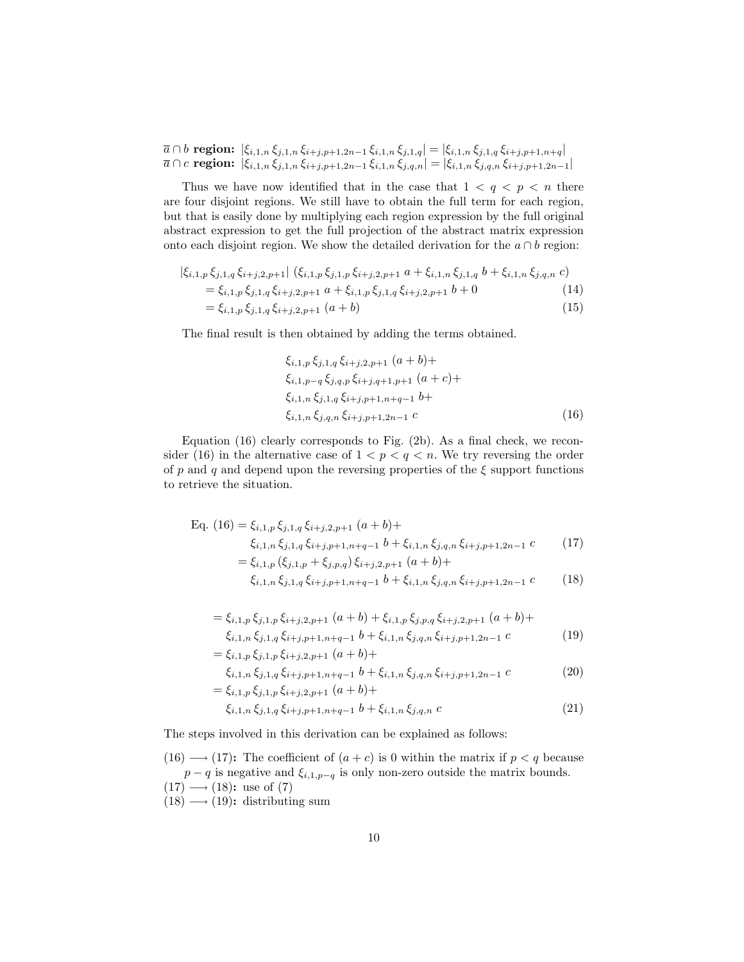$\overline{a} \cap b$  region:  $|\xi_{i,1,n} \xi_{j,1,n} \xi_{i+j,p+1,2n-1} \xi_{i,1,n} \xi_{j,1,q}| = |\xi_{i,1,n} \xi_{j,1,q} \xi_{i+j,p+1,n+q}|$  $\overline{a} \cap c$  region:  $|\xi_{i,1,n} \xi_{j,1,n} \xi_{i+j,p+1,2n-1} \xi_{i,1,n} \xi_{j,q,n}| = |\xi_{i,1,n} \xi_{j,q,n} \xi_{i+j,p+1,2n-1}|$ 

Thus we have now identified that in the case that  $1 < q < p < n$  there are four disjoint regions. We still have to obtain the full term for each region, but that is easily done by multiplying each region expression by the full original abstract expression to get the full projection of the abstract matrix expression onto each disjoint region. We show the detailed derivation for the  $a \cap b$  region:

$$
|\xi_{i,1,p}\xi_{j,1,q}\xi_{i+j,2,p+1}| \left(\xi_{i,1,p}\xi_{j,1,p}\xi_{i+j,2,p+1} a + \xi_{i,1,n}\xi_{j,1,q} b + \xi_{i,1,n}\xi_{j,q,n} c\right)
$$
  
=  $\xi_{i,1,p}\xi_{j,1,q}\xi_{i+j,2,p+1} a + \xi_{i,1,p}\xi_{j,1,q}\xi_{i+j,2,p+1} b + 0$  (14)  
=  $\xi_{i,1,p}\xi_{j,1,q}\xi_{i+j,2,p+1} (a + b)$  (15)

The final result is then obtained by adding the terms obtained.

$$
\xi_{i,1,p} \xi_{j,1,q} \xi_{i+j,2,p+1} (a+b)+\n\xi_{i,1,p-q} \xi_{j,q,p} \xi_{i+j,q+1,p+1} (a+c)+\n\xi_{i,1,n} \xi_{j,1,q} \xi_{i+j,p+1,n+q-1} b+\n\xi_{i,1,n} \xi_{j,q,n} \xi_{i+j,p+1,2n-1} c
$$
\n(16)

Equation (16) clearly corresponds to Fig. (2b). As a final check, we reconsider (16) in the alternative case of  $1 < p < q < n$ . We try reversing the order of p and q and depend upon the reversing properties of the  $\xi$  support functions to retrieve the situation.

Eq. (16) = 
$$
\xi_{i,1,p} \xi_{j,1,q} \xi_{i+j,2,p+1} (a+b)+
$$
  
\n $\xi_{i,1,n} \xi_{j,1,q} \xi_{i+j,p+1,n+q-1} b+\xi_{i,1,n} \xi_{j,q,n} \xi_{i+j,p+1,2n-1} c$  (17)  
\n=  $\xi_{i,1,p} (\xi_{j,1,p} + \xi_{j,p,q}) \xi_{i+j,2,p+1} (a+b)+$ 

$$
\xi_{i,1,n} \xi_{j,1,q} \xi_{i+j,p+1,n+q-1} b + \xi_{i,1,n} \xi_{j,q,n} \xi_{i+j,p+1,2n-1} c \tag{18}
$$

$$
= \xi_{i,1,p} \xi_{j,1,p} \xi_{i+j,2,p+1} (a+b) + \xi_{i,1,p} \xi_{j,p,q} \xi_{i+j,2,p+1} (a+b) + \n\xi_{i,1,n} \xi_{j,1,q} \xi_{i+j,p+1,n+q-1} b + \xi_{i,1,n} \xi_{j,q,n} \xi_{i+j,p+1,2n-1} c
$$
\n(19)

$$
= \xi_{i,1,p} \xi_{j,1,p} \xi_{i+j,2,p+1} (a+b)+
$$

$$
\xi_{i,1,n} \xi_{j,1,q} \xi_{i+j,p+1,n+q-1} b + \xi_{i,1,n} \xi_{j,q,n} \xi_{i+j,p+1,2n-1} c
$$
\n
$$
= \xi_{i,1,p} \xi_{j,1,p} \xi_{i+j,2,p+1} (a+b) +
$$
\n(20)

$$
\xi_{i,1,n} \xi_{j,1,q} \xi_{i+j,p+1,n+q-1} b + \xi_{i,1,n} \xi_{j,q,n} c \tag{21}
$$

The steps involved in this derivation can be explained as follows:

(16)  $\longrightarrow$  (17): The coefficient of  $(a + c)$  is 0 within the matrix if  $p < q$  because  $p - q$  is negative and  $\xi_{i,1,p-q}$  is only non-zero outside the matrix bounds.  $(17) \longrightarrow (18)$ : use of  $(7)$  $(18) \longrightarrow (19)$ : distributing sum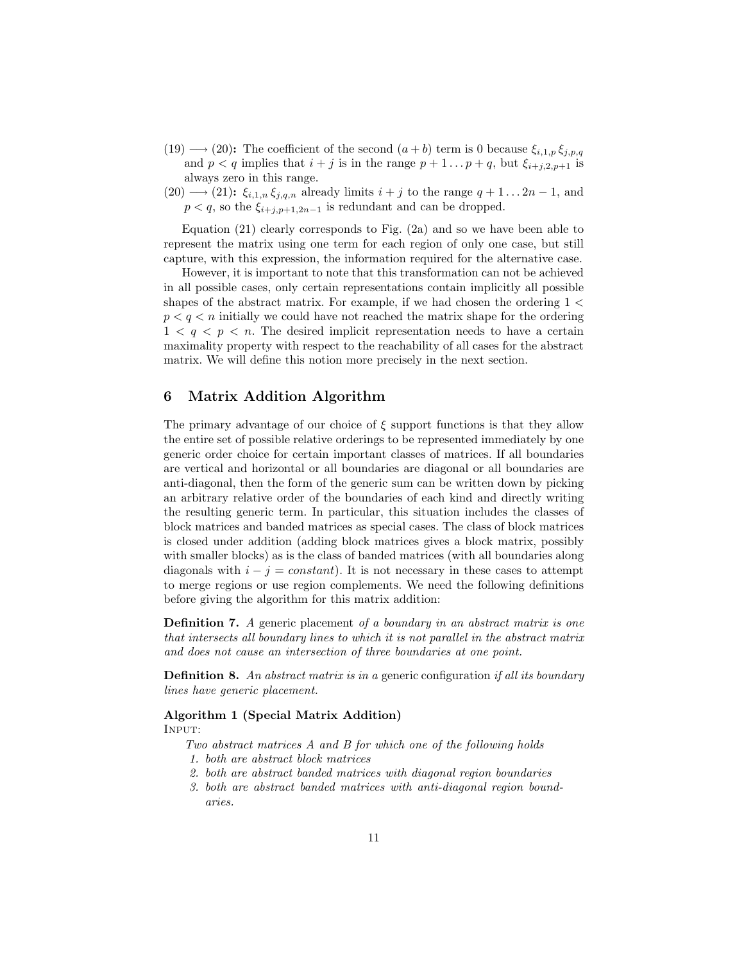- $(19) \longrightarrow (20)$ : The coefficient of the second  $(a + b)$  term is 0 because  $\xi_{i,1,p} \xi_{j,p,q}$ and  $p < q$  implies that  $i + j$  is in the range  $p + 1 \dots p + q$ , but  $\xi_{i+j,2,p+1}$  is always zero in this range.
- $(20) \longrightarrow (21)$ :  $\xi_{i,1,n} \xi_{j,q,n}$  already limits  $i + j$  to the range  $q + 1 \dots 2n 1$ , and  $p < q$ , so the  $\xi_{i+j, p+1, 2n-1}$  is redundant and can be dropped.

Equation (21) clearly corresponds to Fig. (2a) and so we have been able to represent the matrix using one term for each region of only one case, but still capture, with this expression, the information required for the alternative case.

However, it is important to note that this transformation can not be achieved in all possible cases, only certain representations contain implicitly all possible shapes of the abstract matrix. For example, if we had chosen the ordering  $1 <$  $p < q < n$  initially we could have not reached the matrix shape for the ordering  $1 < q < p < n$ . The desired implicit representation needs to have a certain maximality property with respect to the reachability of all cases for the abstract matrix. We will define this notion more precisely in the next section.

#### 6 Matrix Addition Algorithm

The primary advantage of our choice of  $\xi$  support functions is that they allow the entire set of possible relative orderings to be represented immediately by one generic order choice for certain important classes of matrices. If all boundaries are vertical and horizontal or all boundaries are diagonal or all boundaries are anti-diagonal, then the form of the generic sum can be written down by picking an arbitrary relative order of the boundaries of each kind and directly writing the resulting generic term. In particular, this situation includes the classes of block matrices and banded matrices as special cases. The class of block matrices is closed under addition (adding block matrices gives a block matrix, possibly with smaller blocks) as is the class of banded matrices (with all boundaries along diagonals with  $i - j = constant$ ). It is not necessary in these cases to attempt to merge regions or use region complements. We need the following definitions before giving the algorithm for this matrix addition:

Definition 7. A generic placement of a boundary in an abstract matrix is one that intersects all boundary lines to which it is not parallel in the abstract matrix and does not cause an intersection of three boundaries at one point.

**Definition 8.** An abstract matrix is in a generic configuration if all its boundary lines have generic placement.

## Algorithm 1 (Special Matrix Addition)

INPUT:

Two abstract matrices A and B for which one of the following holds 1. both are abstract block matrices

- 2. both are abstract banded matrices with diagonal region boundaries
- 3. both are abstract banded matrices with anti-diagonal region boundaries.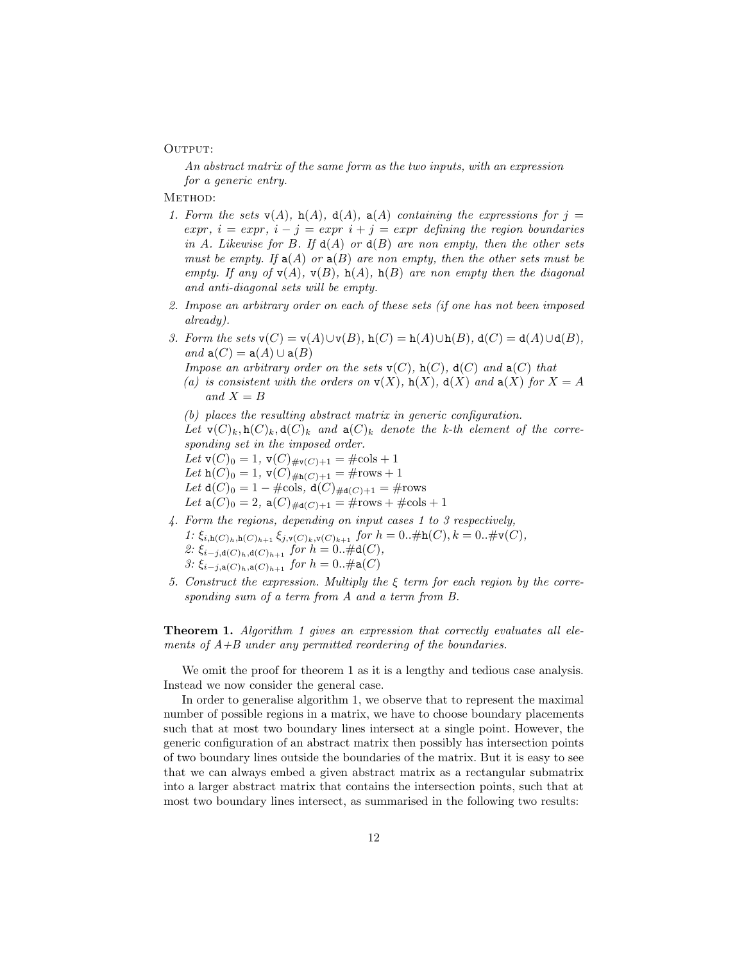#### OUTPUT:

An abstract matrix of the same form as the two inputs, with an expression for a generic entry.

#### METHOD:

- 1. Form the sets  $v(A)$ ,  $h(A)$ ,  $d(A)$ ,  $a(A)$  containing the expressions for  $j =$ expr,  $i = expr$ ,  $i - j = expr$   $i + j = expr$  defining the region boundaries in A. Likewise for B. If  $d(A)$  or  $d(B)$  are non empty, then the other sets must be empty. If  $a(A)$  or  $a(B)$  are non empty, then the other sets must be empty. If any of  $v(A)$ ,  $v(B)$ ,  $h(A)$ ,  $h(B)$  are non empty then the diagonal and anti-diagonal sets will be empty.
- 2. Impose an arbitrary order on each of these sets (if one has not been imposed already).
- 3. Form the sets  $\mathsf{v}(C) = \mathsf{v}(A) \cup \mathsf{v}(B)$ ,  $\mathsf{h}(C) = \mathsf{h}(A) \cup \mathsf{h}(B)$ ,  $\mathsf{d}(C) = \mathsf{d}(A) \cup \mathsf{d}(B)$ , and  $a(C) = a(A) \cup a(B)$

Impose an arbitrary order on the sets  $v(C)$ ,  $h(C)$ ,  $d(C)$  and  $a(C)$  that

(a) is consistent with the orders on  $v(X)$ ,  $h(X)$ ,  $d(X)$  and  $a(X)$  for  $X = A$ and  $X = B$ 

(b) places the resulting abstract matrix in generic configuration. Let  $\mathsf{v}(C)_k, \mathsf{h}(C)_k, \mathsf{d}(C)_k$  and  $\mathsf{a}(C)_k$  denote the k-th element of the corresponding set in the imposed order.

Let  $\mathsf{v}(C)_0 = 1$ ,  $\mathsf{v}(C)_{\# \mathsf{v}(C)+1} = \text{#cols} + 1$ Let  $h(C)_0 = 1$ ,  $v(C)_{\#h(C)+1} = \#rows$ rows + 1 Let  $d(C)_0 = 1 - \text{\#cols}, d(C)_{\text{\#d}(C)+1} = \text{\#rows}$ Let  $\mathsf{a}(C)_0 = 2$ ,  $\mathsf{a}(C)_{\# \mathsf{d}(C)+1} = \text{#rows} + \text{#cols} + 1$ 

- 4. Form the regions, depending on input cases 1 to 3 respectively, 1:  $\xi_{i,\text{h}(C)_h,\text{h}(C)_{h+1}} \xi_{j,\text{v}(C)_k,\text{v}(C)_{k+1}}$  for  $h = 0.\# \text{h}(C), k = 0.\# \text{v}(C),$ 2:  $\xi_{i-j,d(C)_h,d(C)_{h+1}}$  for  $h=0$ . #d(C), 3:  $\xi_{i-j,a(C)_h,a(C)_{h+1}}$  for  $h=0.\#a(C)$
- 5. Construct the expression. Multiply the  $\xi$  term for each region by the corresponding sum of a term from A and a term from B.

**Theorem 1.** Algorithm 1 gives an expression that correctly evaluates all elements of  $A+B$  under any permitted reordering of the boundaries.

We omit the proof for theorem 1 as it is a lengthy and tedious case analysis. Instead we now consider the general case.

In order to generalise algorithm 1, we observe that to represent the maximal number of possible regions in a matrix, we have to choose boundary placements such that at most two boundary lines intersect at a single point. However, the generic configuration of an abstract matrix then possibly has intersection points of two boundary lines outside the boundaries of the matrix. But it is easy to see that we can always embed a given abstract matrix as a rectangular submatrix into a larger abstract matrix that contains the intersection points, such that at most two boundary lines intersect, as summarised in the following two results: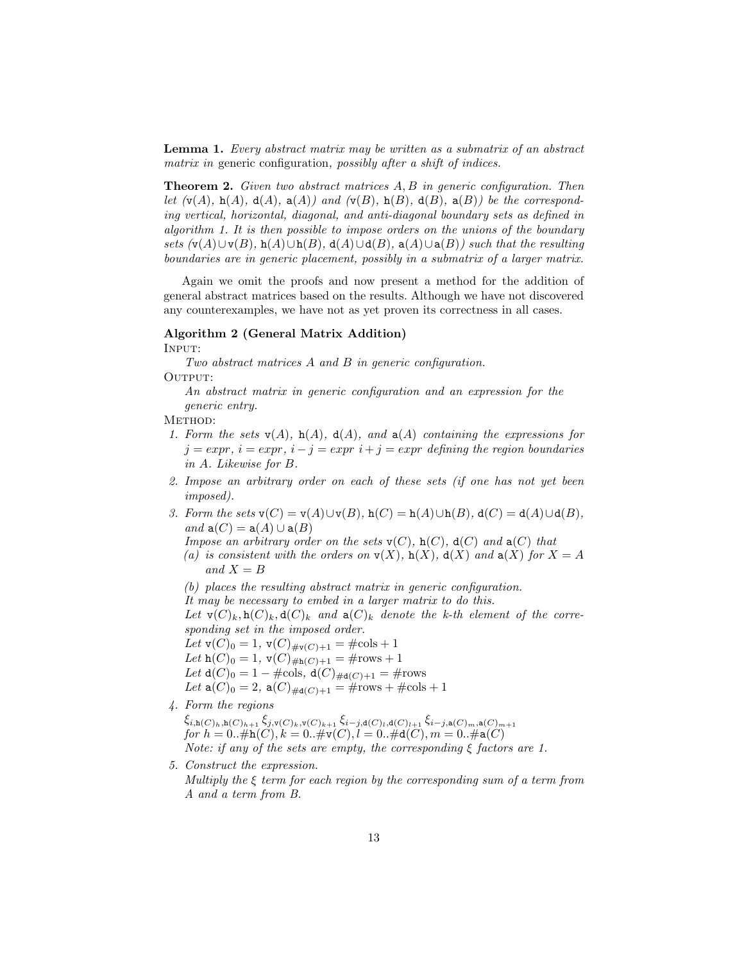Lemma 1. Every abstract matrix may be written as a submatrix of an abstract matrix in generic configuration, possibly after a shift of indices.

Theorem 2. Given two abstract matrices A, B in generic configuration. Then let  $(v(A), h(A), d(A), a(A))$  and  $(v(B), h(B), d(B), a(B))$  be the corresponding vertical, horizontal, diagonal, and anti-diagonal boundary sets as defined in algorithm 1. It is then possible to impose orders on the unions of the boundary sets  $(\mathbf{v}(A)\cup\mathbf{v}(B), \mathbf{h}(A)\cup\mathbf{h}(B), \mathbf{d}(A)\cup\mathbf{d}(B), \mathbf{a}(A)\cup\mathbf{a}(B))$  such that the resulting boundaries are in generic placement, possibly in a submatrix of a larger matrix.

Again we omit the proofs and now present a method for the addition of general abstract matrices based on the results. Although we have not discovered any counterexamples, we have not as yet proven its correctness in all cases.

## Algorithm 2 (General Matrix Addition)

Input:

Two abstract matrices A and B in generic configuration.

OUTPUT:

An abstract matrix in generic configuration and an expression for the generic entry.

METHOD:

- 1. Form the sets  $v(A)$ ,  $h(A)$ ,  $d(A)$ , and  $a(A)$  containing the expressions for  $j = expr, i = expr, i - j = expr i + j = expr$  defining the region boundaries in A. Likewise for B.
- 2. Impose an arbitrary order on each of these sets (if one has not yet been imposed).
- 3. Form the sets  $\mathsf{v}(C) = \mathsf{v}(A) \cup \mathsf{v}(B)$ ,  $\mathsf{h}(C) = \mathsf{h}(A) \cup \mathsf{h}(B)$ ,  $\mathsf{d}(C) = \mathsf{d}(A) \cup \mathsf{d}(B)$ , and  $a(C) = a(A) \cup a(B)$

Impose an arbitrary order on the sets  $v(C)$ ,  $h(C)$ ,  $d(C)$  and  $a(C)$  that (a) is consistent with the orders on  $v(X)$ ,  $h(X)$ ,  $d(X)$  and  $a(X)$  for  $X = A$ and  $X = B$ 

```
(b) places the resulting abstract matrix in generic configuration.
It may be necessary to embed in a larger matrix to do this.
Let \mathsf{v}(C)_k, \mathsf{h}(C)_k, \mathsf{d}(C)_k and \mathsf{a}(C)_k denote the k-th element of the corre-
sponding set in the imposed order.
Let \mathsf{v}(C)_0 = 1, \mathsf{v}(C)_{\# \mathsf{v}(C)+1} = \#\text{cols} + 1
```
Let  $h(C)_0 = 1$ ,  $v(C)_{\#h(C)+1} = \#rows + 1$ Let  $d(C)_0 = 1 - \text{#cols}, d(C)_{\text{#d}(C)+1} = \text{#rows}$ Let  $\mathsf{a}(C)_0 = 2$ ,  $\mathsf{a}(C)_{\# \mathsf{d}(C)+1} = \# \text{rows} + \# \text{cols} + 1$ 

4. Form the regions

 $\xi_{i,h(C)_{h},h(C)_{h+1}} \xi_{j,v(C)_{k},v(C)_{k+1}} \xi_{i-j,\mathrm{d}(C)_{l},\mathrm{d}(C)_{l+1}} \xi_{i-j,\mathrm{a}(C)_{m},\mathrm{a}(C)_{m+1}}$ for  $h = 0$ ..# $h(C)$ ,  $k = 0$ ..# $v(C)$ ,  $l = 0$ ..# $d(C)$ ,  $m = 0$ ..# $a(C)$ Note: if any of the sets are empty, the corresponding  $\xi$  factors are 1.

5. Construct the expression.

Multiply the  $\xi$  term for each region by the corresponding sum of a term from A and a term from B.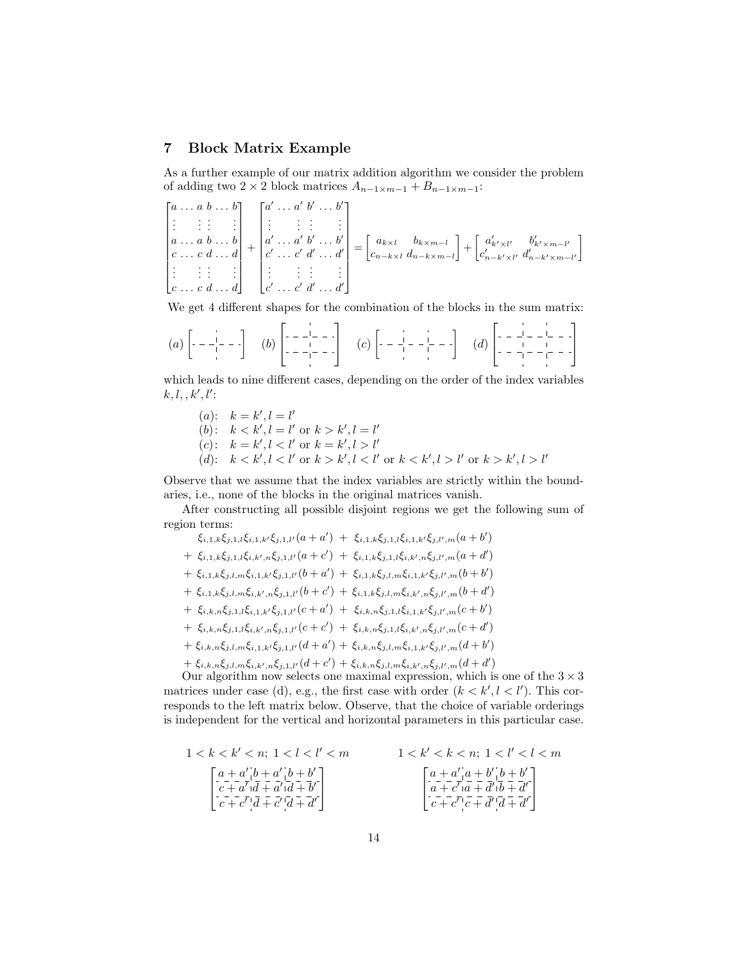#### 7 Block Matrix Example

As a further example of our matrix addition algorithm we consider the problem of adding two 2 × 2 block matrices  $A_{n-1\times m-1}+B_{n-1\times m-1}\colon$ 

 $\sqrt{2}$  $\begin{array}{c|c|c|c} \hline \multicolumn{1}{c|}{\textbf{1}} & \multicolumn{1}{c|}{\textbf{1}} \\ \multicolumn{1}{c|}{\textbf{2}} & \multicolumn{1}{c|}{\textbf{3}} \\ \multicolumn{1}{c|}{\textbf{4}} & \multicolumn{1}{c|}{\textbf{5}} \\ \multicolumn{1}{c|}{\textbf{5}} & \multicolumn{1}{c|}{\textbf{6}} \\ \multicolumn{1}{c|}{\textbf{6}} & \multicolumn{1}{c|}{\textbf{7}} \\ \multicolumn{1}{c|}{\textbf{7}} & \multicolumn{1}{c|}{\textbf{8}} \\$  $a \ldots a b \ldots b$ . . . . . . . . . . . .  $a \ldots a b \ldots b$  $c \ldots c \, d \ldots d$ . . . . . . . . . . . .  $[c \dots c \, d \dots d]$ 1  $\frac{1}{2}$  $^{+}$  $\sqrt{2}$  $\begin{array}{c|c|c|c} \hline \multicolumn{1}{c|}{\textbf{1}} & \multicolumn{1}{c|}{\textbf{1}} \\ \multicolumn{1}{c|}{\textbf{2}} & \multicolumn{1}{c|}{\textbf{3}} \\ \multicolumn{1}{c|}{\textbf{4}} & \multicolumn{1}{c|}{\textbf{5}} \\ \multicolumn{1}{c|}{\textbf{5}} & \multicolumn{1}{c|}{\textbf{6}} \\ \multicolumn{1}{c|}{\textbf{6}} & \multicolumn{1}{c|}{\textbf{7}} \\ \multicolumn{1}{c|}{\textbf{7}} & \multicolumn{1}{c|}{\textbf{8}} \\$  $a' \ldots a' b' \ldots b'$ . . . . . . . . . . . .  $a' \ldots a' b' \ldots b'$  $c' \ldots c' d' \ldots d'$ . . . . . . . . . . . .  $c' \ldots c' d' \ldots d'$ 1 7 7 7 7 7 7 7 7 5  $=\begin{bmatrix} a_{k\times l} & b_{k\times m-l} \\ a_{k\times l} & b_{k\times m-l} \end{bmatrix}$  $c_{n-k\times l} d_{n-k\times m-l}$  $\Big]+ \begin{bmatrix} a'_{k' \times l'} & b'_{k' \times m-l'} \ c'_{n-k' \times l'} & d'_{n-k' \times m-l'} \end{bmatrix}$ –

We get 4 different shapes for the combination of the blocks in the sum matrix:

$$
(a) \left[ -1 - \frac{1}{2} - \frac{1}{2} - \frac{1}{2} \right] \quad (b) \left[ -\frac{1}{2} - \frac{1}{2} - \frac{1}{2} \right] \quad (c) \left[ -1 - \frac{1}{2} - \frac{1}{2} - \frac{1}{2} \right] \quad (d) \left[ -\frac{1}{2} - \frac{1}{2} - \frac{1}{2} - \frac{1}{2} - \frac{1}{2} \right]
$$

which leads to nine different cases, depending on the order of the index variables  $k, l, k', l'$ :

$$
(a)\colon \ \ k=k', l=l'
$$

(b): 
$$
k < k', l = l'
$$
 or  $k > k', l = l'$ 

- (c):  $k = k', l < l'$  or  $k = k', l > l'$
- (d):  $k < k', l < l'$  or  $k > k', l < l'$  or  $k < k', l > l'$  or  $k > k', l > l'$

Observe that we assume that the index variables are strictly within the boundaries, i.e., none of the blocks in the original matrices vanish.

After constructing all possible disjoint regions we get the following sum of region terms:  $\mathcal{D}^{\mathcal{D}}$ 

$$
\xi_{i,1,k}\xi_{j,1,l}\xi_{i,1,k'}\xi_{j,1,l'}(a+a') + \xi_{i,1,k}\xi_{j,1,l}\xi_{i,1,k'}\xi_{j,l',m}(a+b')
$$
\n+ 
$$
\xi_{i,1,k}\xi_{j,1,l}\xi_{i,k',n}\xi_{j,1,l'}(a+c') + \xi_{i,1,k}\xi_{j,1,l}\xi_{i,k',n}\xi_{j,l',m}(a+d')
$$
\n+ 
$$
\xi_{i,1,k}\xi_{j,l,m}\xi_{i,1,k'}\xi_{j,1,l'}(b+a') + \xi_{i,1,k}\xi_{j,l,m}\xi_{i,1,k'}\xi_{j,l',m}(b+b')
$$
\n+ 
$$
\xi_{i,1,k}\xi_{j,l,m}\xi_{i,k',n}\xi_{j,1,l'}(b+c') + \xi_{i,1,k}\xi_{j,l,m}\xi_{i,k',n}\xi_{j,l',m}(b+d')
$$
\n+ 
$$
\xi_{i,k,n}\xi_{j,1,l}\xi_{i,1,k'}\xi_{j,1,l'}(c+a') + \xi_{i,k,n}\xi_{j,1,l}\xi_{i,1,k'}\xi_{j,l',m}(c+b')
$$
\n+ 
$$
\xi_{i,k,n}\xi_{j,1,l}\xi_{i,k',n}\xi_{j,1,l'}(c+c') + \xi_{i,k,n}\xi_{j,1,l}\xi_{i,k',n}\xi_{j,l',m}(c+d')
$$
\n+ 
$$
\xi_{i,k,n}\xi_{j,l,m}\xi_{i,1,k'}\xi_{j,1,l'}(d+a') + \xi_{i,k,n}\xi_{j,1,n}\xi_{i,1,k'}\xi_{j,l',m}(d+b')
$$
\n+ 
$$
\xi_{i,k,n}\xi_{j,l,m}\xi_{i,k',n}\xi_{j,1,l'}(d+c') + \xi_{i,k,n}\xi_{j,l,m}\xi_{i,k',n}\xi_{j,l',m}(d+d')
$$

Our algorithm now selects one maximal expression, which is one of the  $3 \times 3$ matrices under case (d), e.g., the first case with order  $(k < k', l < l')$ . This corresponds to the left matrix below. Observe, that the choice of variable orderings is independent for the vertical and horizontal parameters in this particular case.

$$
1 < k < k' < n; \ 1 < l < l' < m \qquad \qquad 1 < k' < k < n; \ 1 < l' < l < m \qquad \qquad 1 < k' < k < n; \ 1 < l' < l < m \qquad \qquad \left[ \frac{a + a'_{\cdot} b + a'_{\cdot} b + b'}{c + a'_{\cdot} d + a'_{\cdot} d + b'} \right] \qquad \qquad \left[ \frac{a + a'_{\cdot} a + b'_{\cdot} b + b'}{a + c'_{\cdot} a + d'_{\cdot} b + d'} \right]
$$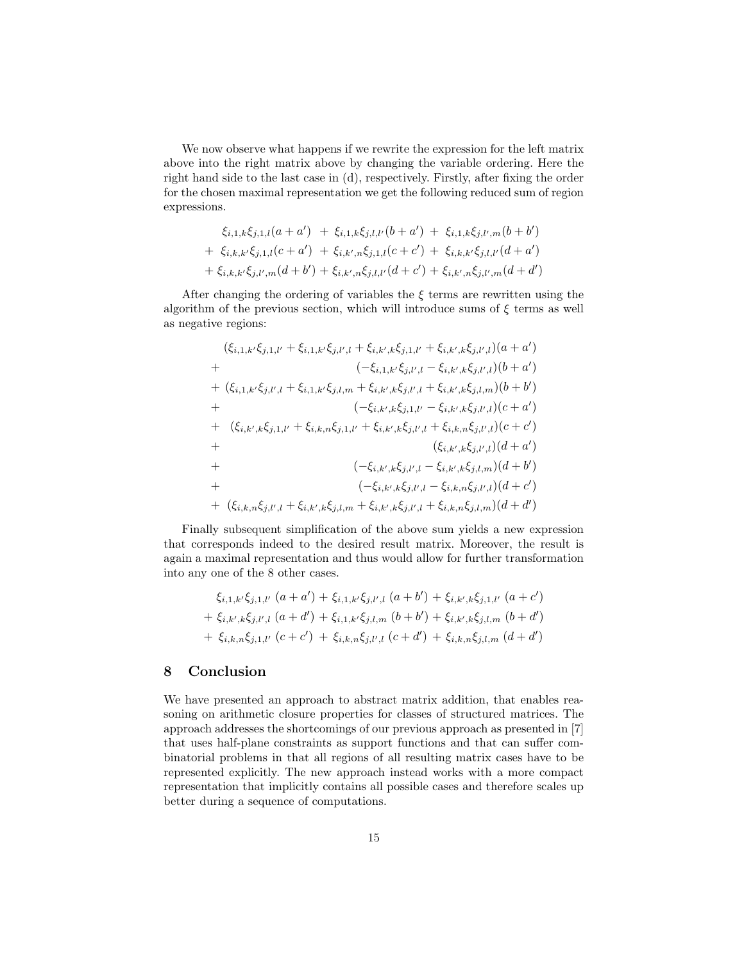We now observe what happens if we rewrite the expression for the left matrix above into the right matrix above by changing the variable ordering. Here the right hand side to the last case in (d), respectively. Firstly, after fixing the order for the chosen maximal representation we get the following reduced sum of region expressions.

$$
\xi_{i,1,k}\xi_{j,1,l}(a+a') + \xi_{i,1,k}\xi_{j,l,l'}(b+a') + \xi_{i,1,k}\xi_{j,l',m}(b+b')
$$
  
+ 
$$
\xi_{i,k,k'}\xi_{j,1,l}(c+a') + \xi_{i,k',n}\xi_{j,1,l}(c+c') + \xi_{i,k,k'}\xi_{j,l,l'}(d+a')
$$
  
+ 
$$
\xi_{i,k,k'}\xi_{j,l',m}(d+b') + \xi_{i,k',n}\xi_{j,l,l'}(d+c') + \xi_{i,k',n}\xi_{j,l',m}(d+d')
$$

After changing the ordering of variables the  $\xi$  terms are rewritten using the algorithm of the previous section, which will introduce sums of  $\xi$  terms as well as negative regions:

$$
(\xi_{i,1,k'}\xi_{j,1,l'} + \xi_{i,1,k'}\xi_{j,l',l} + \xi_{i,k',k}\xi_{j,1,l'} + \xi_{i,k',k}\xi_{j,l',l})(a + a')
$$
  
+  

$$
(-\xi_{i,1,k'}\xi_{j,l',l} - \xi_{i,k',k}\xi_{j,l',l})(b + a')
$$
  
+  

$$
(\xi_{i,1,k'}\xi_{j,l',l} + \xi_{i,1,k'}\xi_{j,l,m} + \xi_{i,k',k}\xi_{j,l',l} + \xi_{i,k',k}\xi_{j,l,m})(b + b')
$$
  
+  

$$
(-\xi_{i,k',k}\xi_{j,1,l'} - \xi_{i,k',k}\xi_{j,l',l})(c + a')
$$
  
+  

$$
(\xi_{i,k',k}\xi_{j,1,l'} + \xi_{i,k,n}\xi_{j,1,l'} + \xi_{i,k',k}\xi_{j,l',l} + \xi_{i,k,n}\xi_{j,l',l})(c + c')
$$
  
+  

$$
(-\xi_{i,k',k}\xi_{j,l',l} - \xi_{i,k',k}\xi_{j,l',l})(d + a')
$$
  
+  

$$
(-\xi_{i,k',k}\xi_{j,l',l} - \xi_{i,k',k}\xi_{j,l',l})(d + c')
$$
  
+  

$$
(\xi_{i,k',k}\xi_{j,l',l} - \xi_{i,k,n}\xi_{j,l',l})(d + c')
$$

Finally subsequent simplification of the above sum yields a new expression that corresponds indeed to the desired result matrix. Moreover, the result is again a maximal representation and thus would allow for further transformation into any one of the 8 other cases.

$$
\xi_{i,1,k'}\xi_{j,1,l'}(a+a') + \xi_{i,1,k'}\xi_{j,l',l}(a+b') + \xi_{i,k',k}\xi_{j,1,l'}(a+c')
$$
  
+ 
$$
\xi_{i,k',k}\xi_{j,l',l}(a+d') + \xi_{i,1,k'}\xi_{j,l,m}(b+b') + \xi_{i,k',k}\xi_{j,l,m}(b+d')
$$
  
+ 
$$
\xi_{i,k,n}\xi_{j,1,l'}(c+c') + \xi_{i,k,n}\xi_{j,l',l}(c+d') + \xi_{i,k,n}\xi_{j,l,m}(d+d')
$$

# 8 Conclusion

We have presented an approach to abstract matrix addition, that enables reasoning on arithmetic closure properties for classes of structured matrices. The approach addresses the shortcomings of our previous approach as presented in [7] that uses half-plane constraints as support functions and that can suffer combinatorial problems in that all regions of all resulting matrix cases have to be represented explicitly. The new approach instead works with a more compact representation that implicitly contains all possible cases and therefore scales up better during a sequence of computations.